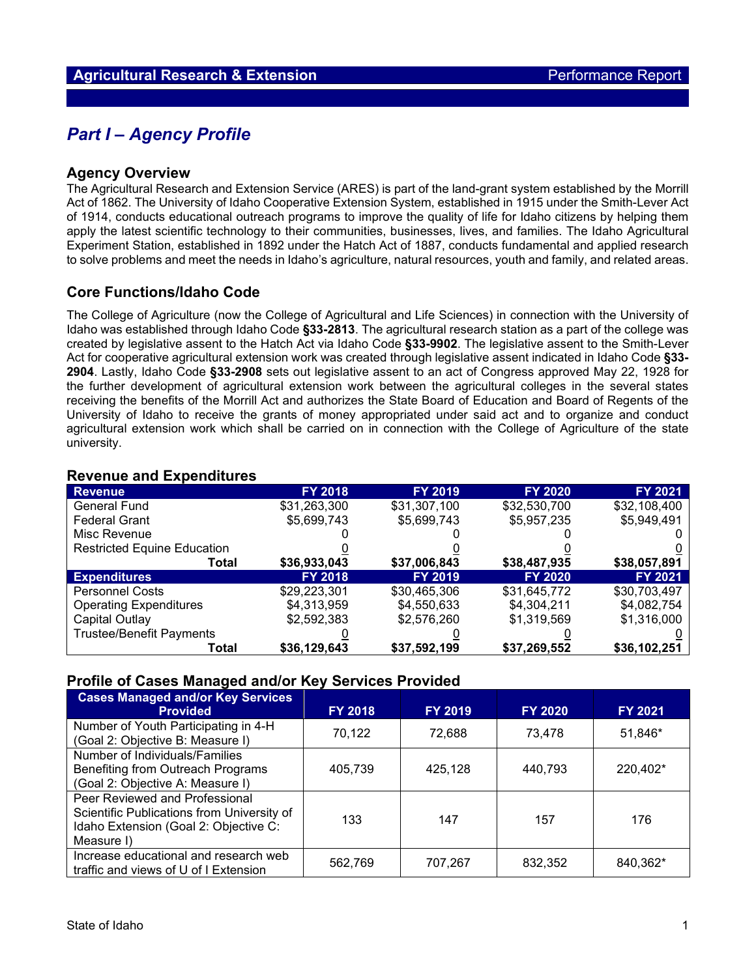## *Part I – Agency Profile*

#### **Agency Overview**

The Agricultural Research and Extension Service (ARES) is part of the land-grant system established by the Morrill Act of 1862. The University of Idaho Cooperative Extension System, established in 1915 under the Smith-Lever Act of 1914, conducts educational outreach programs to improve the quality of life for Idaho citizens by helping them apply the latest scientific technology to their communities, businesses, lives, and families. The Idaho Agricultural Experiment Station, established in 1892 under the Hatch Act of 1887, conducts fundamental and applied research to solve problems and meet the needs in Idaho's agriculture, natural resources, youth and family, and related areas.

### **Core Functions/Idaho Code**

The College of Agriculture (now the College of Agricultural and Life Sciences) in connection with the University of Idaho was established through Idaho Code **§33-2813**. The agricultural research station as a part of the college was created by legislative assent to the Hatch Act via Idaho Code **§33-9902**. The legislative assent to the Smith-Lever Act for cooperative agricultural extension work was created through legislative assent indicated in Idaho Code **§33- 2904**. Lastly, Idaho Code **§33-2908** sets out legislative assent to an act of Congress approved May 22, 1928 for the further development of agricultural extension work between the agricultural colleges in the several states receiving the benefits of the Morrill Act and authorizes the State Board of Education and Board of Regents of the University of Idaho to receive the grants of money appropriated under said act and to organize and conduct agricultural extension work which shall be carried on in connection with the College of Agriculture of the state university.

#### **Revenue and Expenditures**

| <b>Revenue</b>                     | <b>FY 2018</b> | <b>FY 2019</b> | <b>FY 2020</b> | FY 2021      |
|------------------------------------|----------------|----------------|----------------|--------------|
| <b>General Fund</b>                | \$31,263,300   | \$31,307,100   | \$32,530,700   | \$32,108,400 |
| <b>Federal Grant</b>               | \$5,699,743    | \$5,699,743    | \$5,957,235    | \$5,949,491  |
| Misc Revenue                       |                |                |                |              |
| <b>Restricted Equine Education</b> |                |                |                |              |
| Total                              | \$36,933,043   | \$37,006,843   | \$38,487,935   | \$38,057,891 |
| <b>Expenditures</b>                | <b>FY 2018</b> | <b>FY 2019</b> | <b>FY 2020</b> | FY 2021      |
| <b>Personnel Costs</b>             | \$29,223,301   | \$30,465,306   | \$31,645,772   | \$30,703,497 |
| <b>Operating Expenditures</b>      | \$4,313,959    | \$4,550,633    | \$4,304,211    | \$4,082,754  |
| Capital Outlay                     | \$2,592,383    | \$2,576,260    | \$1,319,569    | \$1,316,000  |
| <b>Trustee/Benefit Payments</b>    |                |                |                |              |
| Total                              | \$36,129,643   | \$37,592,199   | \$37,269,552   | \$36,102,251 |

#### **Profile of Cases Managed and/or Key Services Provided**

| <b>Cases Managed and/or Key Services</b><br><b>Provided</b>                                                                         | <b>FY 2018</b> | <b>FY 2019</b> | <b>FY 2020</b> | FY 2021  |
|-------------------------------------------------------------------------------------------------------------------------------------|----------------|----------------|----------------|----------|
| Number of Youth Participating in 4-H<br>(Goal 2: Objective B: Measure I)                                                            | 70,122         | 72,688         | 73.478         | 51,846*  |
| Number of Individuals/Families<br>Benefiting from Outreach Programs<br>(Goal 2: Objective A: Measure I)                             | 405,739        | 425,128        | 440,793        | 220,402* |
| Peer Reviewed and Professional<br>Scientific Publications from University of<br>Idaho Extension (Goal 2: Objective C:<br>Measure I) | 133            | 147            | 157            | 176      |
| Increase educational and research web<br>traffic and views of U of I Extension                                                      | 562,769        | 707,267        | 832,352        | 840,362* |